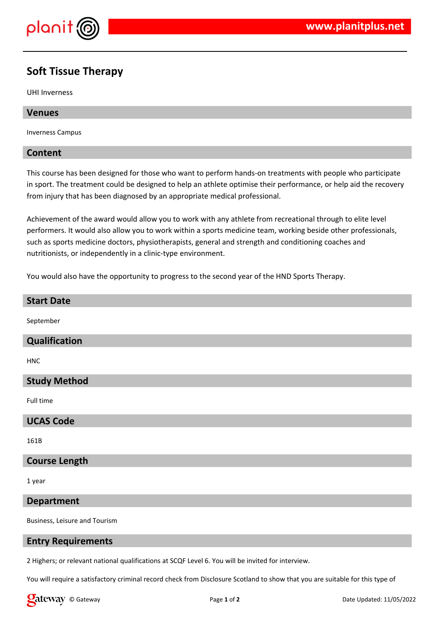

# **Soft Tissue Therapy**

UHI Inverness

#### **Venues**

Inverness Campus

#### **Content**

This course has been designed for those who want to perform hands-on treatments with people who participate in sport. The treatment could be designed to help an athlete optimise their performance, or help aid the recovery from injury that has been diagnosed by an appropriate medical professional.

Achievement of the award would allow you to work with any athlete from recreational through to elite level performers. It would also allow you to work within a sports medicine team, working beside other professionals, such as sports medicine doctors, physiotherapists, general and strength and conditioning coaches and nutritionists, or independently in a clinic-type environment.

You would also have the opportunity to progress to the second year of the HND Sports Therapy.

#### **Start Date**

September

# **Qualification**

**HNC** 

# **Study Method**

Full time

#### **UCAS Code**

161B

# **Course Length**

1 year

#### **Department**

Business, Leisure and Tourism

# **Entry Requirements**

2 Highers; or relevant national qualifications at SCQF Level 6. You will be invited for interview.

You will require a satisfactory criminal record check from Disclosure Scotland to show that you are suitable for this type of